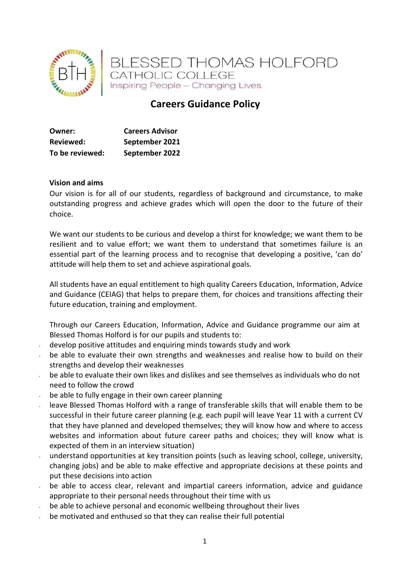

# **Careers Guidance Policy**

| Owner:           | <b>Careers Advisor</b> |
|------------------|------------------------|
| <b>Reviewed:</b> | September 2021         |
| To be reviewed:  | September 2022         |

#### **Vision and aims**

Our vision is for all of our students, regardless of background and circumstance, to make outstanding progress and achieve grades which will open the door to the future of their choice.

We want our students to be curious and develop a thirst for knowledge; we want them to be resilient and to value effort; we want them to understand that sometimes failure is an essential part of the learning process and to recognise that developing a positive, 'can do' attitude will help them to set and achieve aspirational goals.

All students have an equal entitlement to high quality Careers Education, Information, Advice and Guidance (CEIAG) that helps to prepare them, for choices and transitions affecting their future education, training and employment.

Through our Careers Education, Information, Advice and Guidance programme our aim at Blessed Thomas Holford is for our pupils and students to:

- develop positive attitudes and enquiring minds towards study and work
- be able to evaluate their own strengths and weaknesses and realise how to build on their strengths and develop their weaknesses
- be able to evaluate their own likes and dislikes and see themselves as individuals who do not need to follow the crowd
- be able to fully engage in their own career planning
- leave Blessed Thomas Holford with a range of transferable skills that will enable them to be successful in their future career planning (e.g. each pupil will leave Year 11 with a current CV that they have planned and developed themselves; they will know how and where to access websites and information about future career paths and choices; they will know what is expected of them in an interview situation)
- understand opportunities at key transition points (such as leaving school, college, university, changing jobs) and be able to make effective and appropriate decisions at these points and put these decisions into action
- be able to access clear, relevant and impartial careers information, advice and guidance appropriate to their personal needs throughout their time with us
- be able to achieve personal and economic wellbeing throughout their lives
- be motivated and enthused so that they can realise their full potential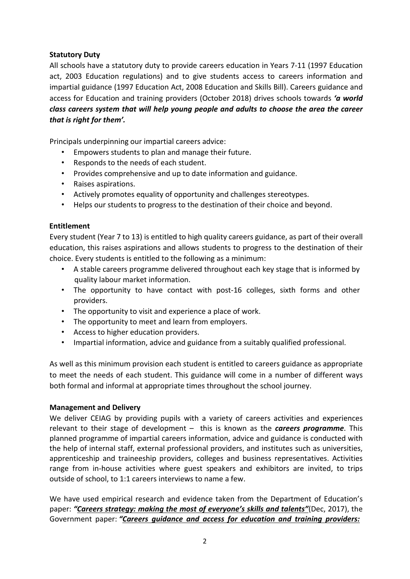## **Statutory Duty**

All schools have a statutory duty to provide careers education in Years 7‐11 (1997 Education act, 2003 Education regulations) and to give students access to careers information and impartial guidance (1997 Education Act, 2008 Education and Skills Bill). Careers guidance and access for Education and training providers (October 2018) drives schools towards *'a world class careers system that will help young people and adults to choose the area the career that is right for them'.*

Principals underpinning our impartial careers advice:

- Empowers students to plan and manage their future.
- Responds to the needs of each student.
- Provides comprehensive and up to date information and guidance.
- Raises aspirations.
- Actively promotes equality of opportunity and challenges stereotypes.
- Helps our students to progress to the destination of their choice and beyond.

## **Entitlement**

Every student (Year 7 to 13) is entitled to high quality careers guidance, as part of their overall education, this raises aspirations and allows students to progress to the destination of their choice. Every students is entitled to the following as a minimum:

- A stable careers programme delivered throughout each key stage that is informed by quality labour market information.
- The opportunity to have contact with post-16 colleges, sixth forms and other providers.
- The opportunity to visit and experience a place of work.
- The opportunity to meet and learn from employers.
- Access to higher education providers.
- Impartial information, advice and guidance from a suitably qualified professional.

As well as this minimum provision each student is entitled to careers guidance as appropriate to meet the needs of each student. This guidance will come in a number of different ways both formal and informal at appropriate times throughout the school journey.

## **Management and Delivery**

We deliver CEIAG by providing pupils with a variety of careers activities and experiences relevant to their stage of development – this is known as the *careers programme*. This planned programme of impartial careers information, advice and guidance is conducted with the help of internal staff, external professional providers, and institutes such as universities, apprenticeship and traineeship providers, colleges and business representatives. Activities range from in-house activities where guest speakers and exhibitors are invited, to trips outside of school, to 1:1 careers interviews to name a few.

We have used empirical research and evidence taken from the Department of Education's paper: *"Careers strategy: making the most of everyone's skills and talents"*(Dec, 2017), the Government paper: *"Careers guidance and access for education and training providers:*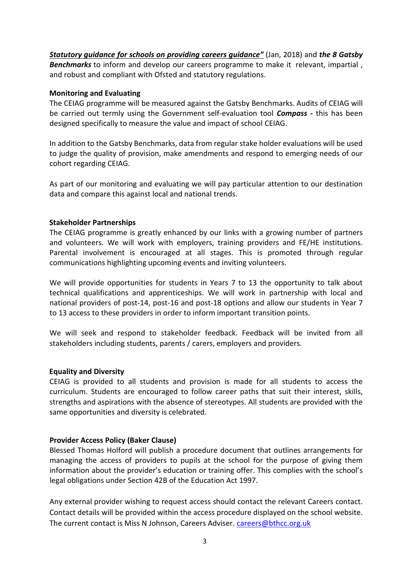*Statutory guidance for schools on providing careers guidance"* (Jan, 2018) and *the 8 Gatsby Benchmarks* to inform and develop our careers programme to make it relevant, impartial , and robust and compliant with Ofsted and statutory regulations.

#### **Monitoring and Evaluating**

The CEIAG programme will be measured against the Gatsby Benchmarks. Audits of CEIAG will be carried out termly using the Government self‐evaluation tool *Compass ‐* this has been designed specifically to measure the value and impact of school CEIAG.

In addition to the Gatsby Benchmarks, data from regular stake holder evaluations will be used to judge the quality of provision, make amendments and respond to emerging needs of our cohort regarding CEIAG.

As part of our monitoring and evaluating we will pay particular attention to our destination data and compare this against local and national trends.

## **Stakeholder Partnerships**

The CEIAG programme is greatly enhanced by our links with a growing number of partners and volunteers. We will work with employers, training providers and FE/HE institutions. Parental involvement is encouraged at all stages. This is promoted through regular communications highlighting upcoming events and inviting volunteers.

We will provide opportunities for students in Years 7 to 13 the opportunity to talk about technical qualifications and apprenticeships. We will work in partnership with local and national providers of post‐14, post‐16 and post‐18 options and allow our students in Year 7 to 13 access to these providers in order to inform important transition points.

We will seek and respond to stakeholder feedback. Feedback will be invited from all stakeholders including students, parents / carers, employers and providers.

## **Equality and Diversity**

CEIAG is provided to all students and provision is made for all students to access the curriculum. Students are encouraged to follow career paths that suit their interest, skills, strengths and aspirations with the absence of stereotypes. All students are provided with the same opportunities and diversity is celebrated.

## **Provider Access Policy (Baker Clause)**

Blessed Thomas Holford will publish a procedure document that outlines arrangements for managing the access of providers to pupils at the school for the purpose of giving them information about the provider's education or training offer. This complies with the school's legal obligations under Section 42B of the Education Act 1997.

Any external provider wishing to request access should contact the relevant Careers contact. Contact details will be provided within the access procedure displayed on the school website. The current contact is Miss N Johnson, Careers Adviser. [careers@bthcc.org.uk](mailto:careers@bthcc.org.uk)